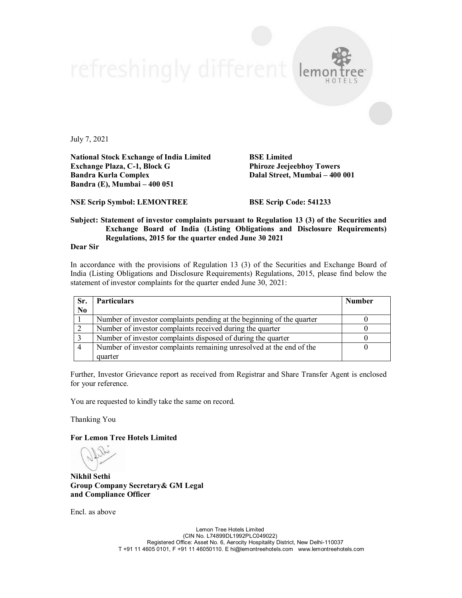July 7, 2021

**National Stock Exchange of India Limited BSE Limited Exchange Plaza, C-1, Block G Phiroze Jeejeebhoy Towers Bandra (E), Mumbai – 400 051**

**Dalal Street, Mumbai – 400 001** 

**NSE Scrip Symbol: LEMONTREE BSE Scrip Code: 541233**

## **Subject: Statement of investor complaints pursuant to Regulation 13 (3) of the Securities and Exchange Board of India (Listing Obligations and Disclosure Requirements) Regulations, 2015 for the quarter ended June 30 2021**

refreshingly different lema

**Dear Sir**

In accordance with the provisions of Regulation 13 (3) of the Securities and Exchange Board of India (Listing Obligations and Disclosure Requirements) Regulations, 2015, please find below the statement of investor complaints for the quarter ended June 30, 2021:

| Sr.            | <b>Particulars</b>                                                    | <b>Number</b> |
|----------------|-----------------------------------------------------------------------|---------------|
| N <sub>0</sub> |                                                                       |               |
|                | Number of investor complaints pending at the beginning of the quarter |               |
|                | Number of investor complaints received during the quarter             |               |
|                | Number of investor complaints disposed of during the quarter          |               |
| $\overline{4}$ | Number of investor complaints remaining unresolved at the end of the  |               |
|                | quarter                                                               |               |

Further, Investor Grievance report as received from Registrar and Share Transfer Agent is enclosed for your reference.

You are requested to kindly take the same on record.

Thanking You

**For Lemon Tree Hotels Limited**

**Nikhil Sethi Group Company Secretary& GM Legal and Compliance Officer**

Encl. as above